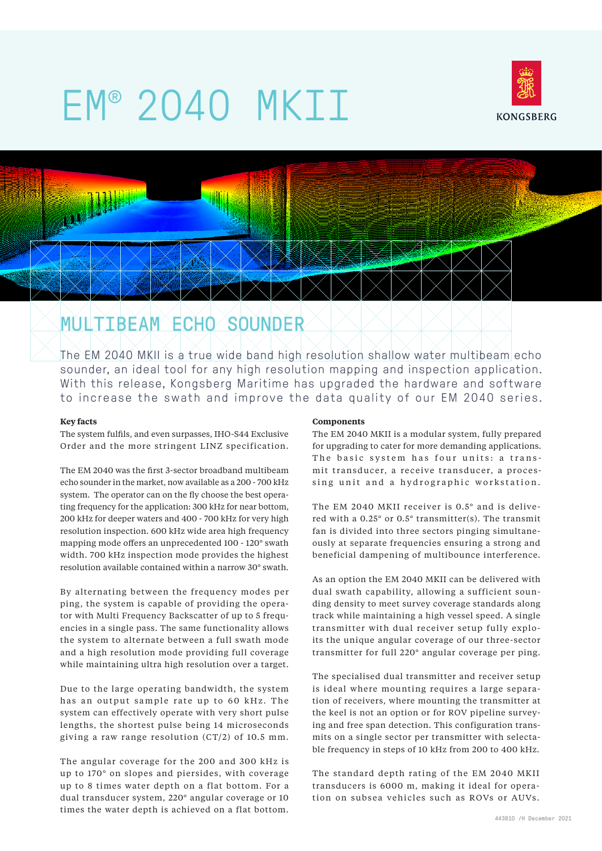# **EM® 2040 MKTT**



**RAMA** 

## MULTIBEAM ECHO SOUNDER

The EM 2040 MKII is a true wide band high resolution shallow water multibeam echo sounder, an ideal tool for any high resolution mapping and inspection application. With this release, Kongsberg Maritime has upgraded the hardware and software to increase the swath and improve the data quality of our EM 2040 series.

### **Key facts**

The system fulfils, and even surpasses, IHO-S44 Exclusive Order and the more stringent LINZ specification.

The EM 2040 was the first 3-sector broadband multibeam echo sounder in the market, now available as a 200 - 700 kHz system. The operator can on the fly choose the best operating frequency for the application: 300 kHz for near bottom, 200 kHz for deeper waters and 400 - 700 kHz for very high resolution inspection. 600 kHz wide area high frequency mapping mode offers an unprecedented 100 - 120° swath width. 700 kHz inspection mode provides the highest resolution available contained within a narrow 30° swath.

By alternating between the frequency modes per ping, the system is capable of providing the operator with Multi Frequency Backscatter of up to 5 frequencies in a single pass. The same functionality allows the system to alternate between a full swath mode and a high resolution mode providing full coverage while maintaining ultra high resolution over a target.

Due to the large operating bandwidth, the system has an output sample rate up to 60 kHz. The system can effectively operate with very short pulse lengths, the shortest pulse being 14 microseconds giving a raw range resolution (CT/2) of 10.5 mm.

The angular coverage for the 200 and 300 kHz is up to 170° on slopes and piersides, with coverage up to 8 times water depth on a flat bottom. For a dual transducer system, 220° angular coverage or 10 times the water depth is achieved on a flat bottom.

## **Components**

The EM 2040 MKII is a modular system, fully prepared for upgrading to cater for more demanding applications. The basic system has four units: a transmit transducer, a receive transducer, a processing unit and a hydrographic workstation.

The EM 2040 MKII receiver is 0.5° and is delivered with a 0.25° or 0.5° transmitter(s). The transmit fan is divided into three sectors pinging simultaneously at separate frequencies ensuring a strong and beneficial dampening of multibounce interference.

As an option the EM 2040 MKII can be delivered with dual swath capability, allowing a sufficient sounding density to meet survey coverage standards along track while maintaining a high vessel speed. A single transmitter with dual receiver setup fully exploits the unique angular coverage of our three-sector transmitter for full 220° angular coverage per ping.

The specialised dual transmitter and receiver setup is ideal where mounting requires a large separation of receivers, where mounting the transmitter at the keel is not an option or for ROV pipeline surveying and free span detection. This configuration transmits on a single sector per transmitter with selectable frequency in steps of 10 kHz from 200 to 400 kHz.

The standard depth rating of the EM 2040 MKII transducers is 6000 m, making it ideal for operation on subsea vehicles such as ROVs or AUVs.